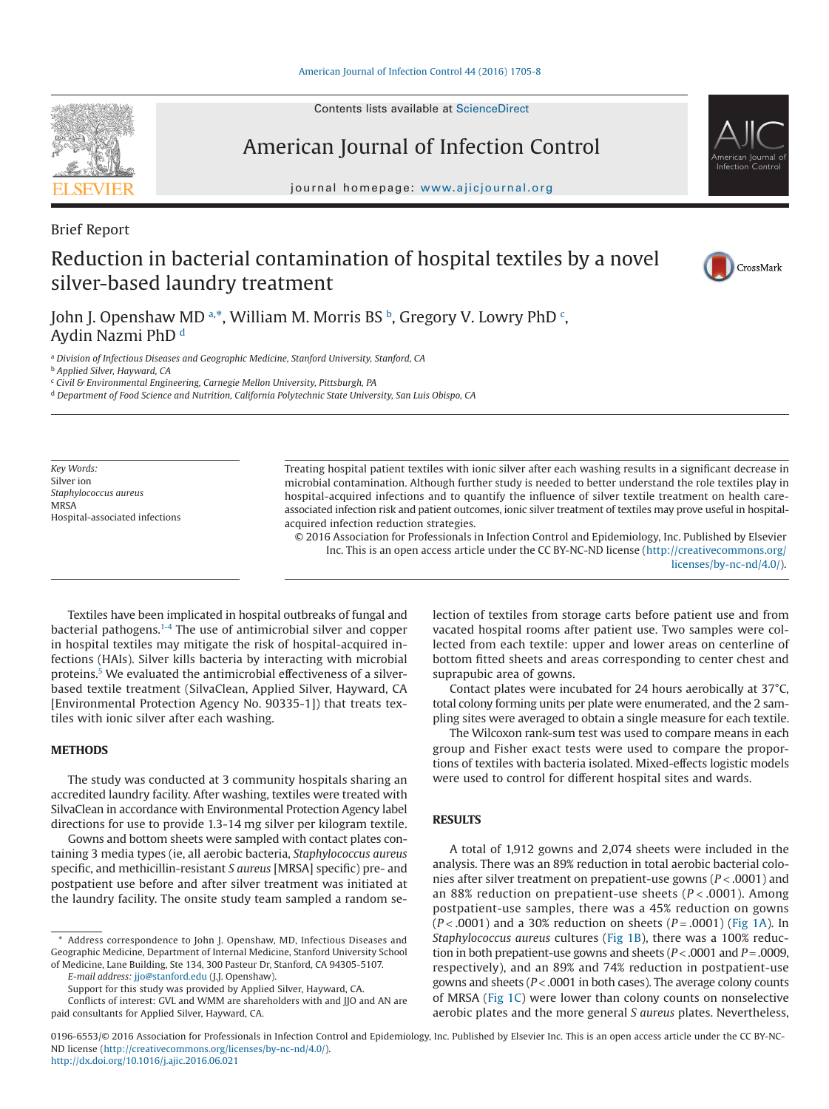Contents lists available at [ScienceDirect](http://www.sciencedirect.com/science/journal/01966553)

# American Journal of Infection Control

journal homepage: [www.ajicjournal.org](http://www.ajicjournal.org)

Brief Report

## Reduction in bacterial contamination of hospital textiles by a novel silver-based laundry treatment

John J. Openshaw MD a.[\\*,](#page-0-1) William M. Morris BS <sup>[b](#page-0-2)</sup>, Gregory V. Lowry PhD <sup>[c](#page-0-3)</sup>, Aydin Nazmi PhD [d](#page-0-4)

<span id="page-0-0"></span><sup>a</sup> *Division of Infectious Diseases and Geographic Medicine, Stanford University, Stanford, CA*

<span id="page-0-2"></span><sup>b</sup> *Applied Silver, Hayward, CA*

<span id="page-0-3"></span><sup>c</sup> *Civil & Environmental Engineering, Carnegie Mellon University, Pittsburgh, PA*

<span id="page-0-4"></span><sup>d</sup> *Department of Food Science and Nutrition, California Polytechnic State University, San Luis Obispo, CA*

*Key Words:* Silver ion *Staphylococcus aureus* **MRSA** Hospital-associated infections Treating hospital patient textiles with ionic silver after each washing results in a significant decrease in microbial contamination. Although further study is needed to better understand the role textiles play in hospital-acquired infections and to quantify the influence of silver textile treatment on health careassociated infection risk and patient outcomes, ionic silver treatment of textiles may prove useful in hospitalacquired infection reduction strategies.

© 2016 Association for Professionals in Infection Control and Epidemiology, Inc. Published by Elsevier Inc. This is an open access article under the CC BY-NC-ND license (http://creativecommons.org/ licenses/by-nc-nd/4.0/).

Textiles have been implicated in hospital outbreaks of fungal and bacterial pathogens.<sup>1-4</sup> The use of antimicrobial silver and copper in hospital textiles may mitigate the risk of hospital-acquired infections (HAIs). Silver kills bacteria by interacting with microbial proteins[.5](#page-3-0) We evaluated the antimicrobial effectiveness of a silverbased textile treatment (SilvaClean, Applied Silver, Hayward, CA [Environmental Protection Agency No. 90335-1]) that treats textiles with ionic silver after each washing.

#### **METHODS**

The study was conducted at 3 community hospitals sharing an accredited laundry facility. After washing, textiles were treated with SilvaClean in accordance with Environmental Protection Agency label directions for use to provide 1.3-14 mg silver per kilogram textile.

Gowns and bottom sheets were sampled with contact plates containing 3 media types (ie, all aerobic bacteria, *Staphylococcus aureus* specific, and methicillin-resistant *S aureus* [MRSA] specific) pre- and postpatient use before and after silver treatment was initiated at the laundry facility. The onsite study team sampled a random se-

<span id="page-0-1"></span>Address correspondence to John J. Openshaw, MD, Infectious Diseases and Geographic Medicine, Department of Internal Medicine, Stanford University School of Medicine, Lane Building, Ste 134, 300 Pasteur Dr, Stanford, CA 94305-5107.

*E-mail address:* [jjo@stanford.edu](mailto:jjo@stanford.edu) (J.J. Openshaw).

Support for this study was provided by Applied Silver, Hayward, CA.

Conflicts of interest: GVL and WMM are shareholders with and JJO and AN are paid consultants for Applied Silver, Hayward, CA.

lection of textiles from storage carts before patient use and from vacated hospital rooms after patient use. Two samples were collected from each textile: upper and lower areas on centerline of bottom fitted sheets and areas corresponding to center chest and suprapubic area of gowns.

Contact plates were incubated for 24 hours aerobically at 37°C, total colony forming units per plate were enumerated, and the 2 sampling sites were averaged to obtain a single measure for each textile.

The Wilcoxon rank-sum test was used to compare means in each group and Fisher exact tests were used to compare the proportions of textiles with bacteria isolated. Mixed-effects logistic models were used to control for different hospital sites and wards.

#### **RESULTS**

A total of 1,912 gowns and 2,074 sheets were included in the analysis. There was an 89% reduction in total aerobic bacterial colonies after silver treatment on prepatient-use gowns (*P* < .0001) and an 88% reduction on prepatient-use sheets (*P* < .0001). Among postpatient-use samples, there was a 45% reduction on gowns (*P* < .0001) and a 30% reduction on sheets (*P* = .0001) [\(Fig 1A\)](#page-1-0). In *Staphylococcus aureus* cultures [\(Fig 1B\)](#page-1-0), there was a 100% reduction in both prepatient-use gowns and sheets (*P* < .0001 and *P* = .0009, respectively), and an 89% and 74% reduction in postpatient-use gowns and sheets (*P* < .0001 in both cases). The average colony counts of MRSA [\(Fig 1C\)](#page-1-0) were lower than colony counts on nonselective aerobic plates and the more general *S aureus* plates. Nevertheless,

0196-6553/© 2016 Association for Professionals in Infection Control and Epidemiology, Inc. Published by Elsevier Inc. This is an open access article under the CC BY-NC-ND license (http://creativecommons.org/licenses/by-nc-nd/4.0/). <http://dx.doi.org/10.1016/j.ajic.2016.06.021>





CrossMark

American Journal of Infection Control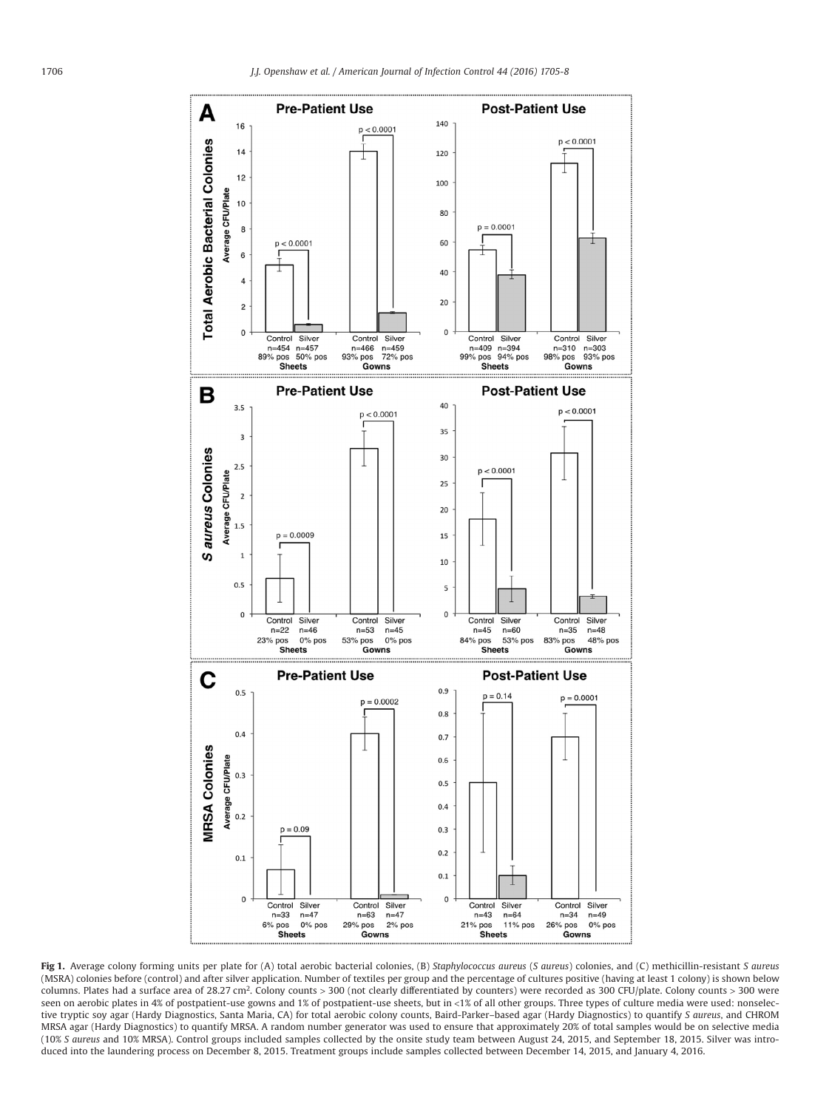<span id="page-1-0"></span>

**Fig 1.** Average colony forming units per plate for (A) total aerobic bacterial colonies, (B) *Staphylococcus aureus* (*S aureus*) colonies, and (C) methicillin-resistant *S aureus* (MSRA) colonies before (control) and after silver application. Number of textiles per group and the percentage of cultures positive (having at least 1 colony) is shown below columns. Plates had a surface area of 28.27 cm<sup>2</sup>. Colony counts > 300 (not clearly differentiated by counters) were recorded as 300 CFU/plate. Colony counts > 300 were seen on aerobic plates in 4% of postpatient-use gowns and 1% of postpatient-use sheets, but in <1% of all other groups. Three types of culture media were used: nonselective tryptic soy agar (Hardy Diagnostics, Santa Maria, CA) for total aerobic colony counts, Baird-Parker–based agar (Hardy Diagnostics) to quantify *S aureus*, and CHROM MRSA agar (Hardy Diagnostics) to quantify MRSA. A random number generator was used to ensure that approximately 20% of total samples would be on selective media (10% *S aureus* and 10% MRSA). Control groups included samples collected by the onsite study team between August 24, 2015, and September 18, 2015. Silver was introduced into the laundering process on December 8, 2015. Treatment groups include samples collected between December 14, 2015, and January 4, 2016.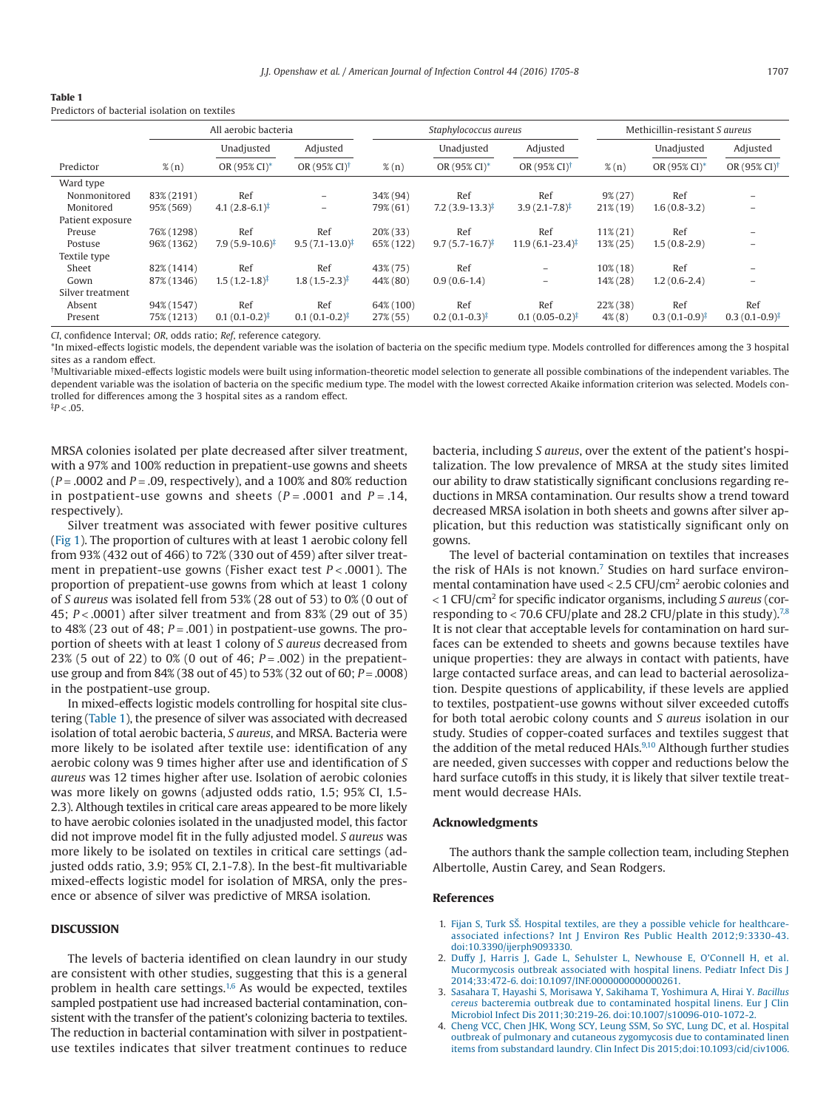| 'Table 1                                      |  |  |  |
|-----------------------------------------------|--|--|--|
| Predictors of bacterial isolation on textiles |  |  |  |

|                  | All aerobic bacteria |                            |                                  | Staphylococcus aureus |                              |                                  | Methicillin-resistant S aureus |                           |                                  |
|------------------|----------------------|----------------------------|----------------------------------|-----------------------|------------------------------|----------------------------------|--------------------------------|---------------------------|----------------------------------|
|                  |                      | Unadjusted                 | Adjusted                         |                       | Unadjusted                   | Adjusted                         |                                | Unadjusted                | Adjusted                         |
| Predictor        | $\%$ (n)             | OR (95% CI)*               | OR $(95\% \text{ CI})^{\dagger}$ | $\%$ (n)              | OR (95% CI)*                 | OR $(95\% \text{ CI})^{\dagger}$ | $\%$ (n)                       | OR (95% CI)*              | OR $(95\% \text{ CI})^{\dagger}$ |
| Ward type        |                      |                            |                                  |                       |                              |                                  |                                |                           |                                  |
| Nonmonitored     | 83% (2191)           | Ref                        | $\overline{\phantom{0}}$         | 34% (94)              | Ref                          | Ref                              | $9\% (27)$                     | Ref                       |                                  |
| Monitored        | 95% (569)            | $4.1(2.8-6.1)^{\ddagger}$  | -                                | 79% (61)              | $7.2(3.9-13.3)^{\ddagger}$   | $3.9(2.1 - 7.8)^{\ddagger}$      | $21\%$ (19)                    | $1.6(0.8-3.2)$            |                                  |
| Patient exposure |                      |                            |                                  |                       |                              |                                  |                                |                           |                                  |
| Preuse           | 76% (1298)           | Ref                        | Ref                              | $20\%$ (33)           | Ref                          | Ref                              | $11\% (21)$                    | Ref                       |                                  |
| Postuse          | 96% (1362)           | $7.9(5.9-10.6)^{\ddagger}$ | $9.5(7.1 - 13.0)^{\ddagger}$     | 65% (122)             | $9.7(5.7 - 16.7)^{\ddagger}$ | $11.9(6.1 - 23.4)^{\ddagger}$    | 13% (25)                       | $1.5(0.8-2.9)$            |                                  |
| Textile type     |                      |                            |                                  |                       |                              |                                  |                                |                           |                                  |
| Sheet            | 82% (1414)           | Ref                        | Ref                              | 43% (75)              | Ref                          | -                                | $10\%$ (18)                    | Ref                       |                                  |
| Gown             | 87% (1346)           | $1.5(1.2-1.8)^{\ddagger}$  | $1.8(1.5-2.3)^{\ddagger}$        | 44% (80)              | $0.9(0.6-1.4)$               | $\overline{\phantom{0}}$         | 14% (28)                       | $1.2(0.6-2.4)$            |                                  |
| Silver treatment |                      |                            |                                  |                       |                              |                                  |                                |                           |                                  |
| Absent           | 94% (1547)           | Ref                        | Ref                              | 64% (100)             | Ref                          | Ref                              | $22\%$ (38)                    | Ref                       | Ref                              |
| Present          | 75% (1213)           | $0.1(0.1-0.2)^{\ddagger}$  | $0.1(0.1-0.2)^{\ddagger}$        | $27\%$ (55)           | $0.2(0.1-0.3)^{\ddagger}$    | $0.1(0.05-0.2)^{\ddagger}$       | $4\%$ (8)                      | $0.3(0.1-0.9)^{\ddagger}$ | $0.3(0.1-0.9)^{\ddagger}$        |

*CI*, confidence Interval; *OR*, odds ratio; *Ref*, reference category.

<span id="page-2-1"></span>\*In mixed-effects logistic models, the dependent variable was the isolation of bacteria on the specific medium type. Models controlled for differences among the 3 hospital sites as a random effect.

<span id="page-2-2"></span>† Multivariable mixed-effects logistic models were built using information-theoretic model selection to generate all possible combinations of the independent variables. The dependent variable was the isolation of bacteria on the specific medium type. The model with the lowest corrected Akaike information criterion was selected. Models controlled for differences among the 3 hospital sites as a random effect.

MRSA colonies isolated per plate decreased after silver treatment, with a 97% and 100% reduction in prepatient-use gowns and sheets (*P* = .0002 and *P* = .09, respectively), and a 100% and 80% reduction in postpatient-use gowns and sheets  $(P = .0001$  and  $P = .14$ , respectively).

Silver treatment was associated with fewer positive cultures [\(Fig 1\)](#page-1-0). The proportion of cultures with at least 1 aerobic colony fell from 93% (432 out of 466) to 72% (330 out of 459) after silver treatment in prepatient-use gowns (Fisher exact test *P* < .0001). The proportion of prepatient-use gowns from which at least 1 colony of *S aureus* was isolated fell from 53% (28 out of 53) to 0% (0 out of 45; *P* < .0001) after silver treatment and from 83% (29 out of 35) to 48% (23 out of 48; *P* = .001) in postpatient-use gowns. The proportion of sheets with at least 1 colony of *S aureus* decreased from 23% (5 out of 22) to 0% (0 out of 46; *P* = .002) in the prepatientuse group and from 84% (38 out of 45) to 53% (32 out of 60; *P* = .0008) in the postpatient-use group.

In mixed-effects logistic models controlling for hospital site clustering (Table 1), the presence of silver was associated with decreased isolation of total aerobic bacteria, *S aureus*, and MRSA. Bacteria were more likely to be isolated after textile use: identification of any aerobic colony was 9 times higher after use and identification of *S aureus* was 12 times higher after use. Isolation of aerobic colonies was more likely on gowns (adjusted odds ratio, 1.5; 95% CI, 1.5- 2.3). Although textiles in critical care areas appeared to be more likely to have aerobic colonies isolated in the unadjusted model, this factor did not improve model fit in the fully adjusted model. *S aureus* was more likely to be isolated on textiles in critical care settings (adjusted odds ratio, 3.9; 95% CI, 2.1-7.8). In the best-fit multivariable mixed-effects logistic model for isolation of MRSA, only the presence or absence of silver was predictive of MRSA isolation.

#### **DISCUSSION**

<span id="page-2-3"></span> $P < .05$ .

The levels of bacteria identified on clean laundry in our study are consistent with other studies, suggesting that this is a general problem in health care settings.<sup>1,6</sup> As would be expected, textiles sampled postpatient use had increased bacterial contamination, consistent with the transfer of the patient's colonizing bacteria to textiles. The reduction in bacterial contamination with silver in postpatientuse textiles indicates that silver treatment continues to reduce bacteria, including *S aureus*, over the extent of the patient's hospitalization. The low prevalence of MRSA at the study sites limited our ability to draw statistically significant conclusions regarding reductions in MRSA contamination. Our results show a trend toward decreased MRSA isolation in both sheets and gowns after silver application, but this reduction was statistically significant only on gowns.

The level of bacterial contamination on textiles that increases the risk of HAIs is not known[.7](#page-3-1) Studies on hard surface environmental contamination have used < 2.5 CFU/cm2 aerobic colonies and < 1 CFU/cm2 for specific indicator organisms, including *S aureus* (corresponding to < 70.6 CFU/plate and 28.2 CFU/plate in this study).<sup>7,8</sup> It is not clear that acceptable levels for contamination on hard surfaces can be extended to sheets and gowns because textiles have unique properties: they are always in contact with patients, have large contacted surface areas, and can lead to bacterial aerosolization. Despite questions of applicability, if these levels are applied to textiles, postpatient-use gowns without silver exceeded cutoffs for both total aerobic colony counts and *S aureus* isolation in our study. Studies of copper-coated surfaces and textiles suggest that the addition of the metal reduced HAIs.<sup>9,10</sup> Although further studies are needed, given successes with copper and reductions below the hard surface cutoffs in this study, it is likely that silver textile treatment would decrease HAIs.

#### **Acknowledgments**

The authors thank the sample collection team, including Stephen Albertolle, Austin Carey, and Sean Rodgers.

#### **References**

- <span id="page-2-0"></span>1. [Fijan S, Turk SŠ. Hospital textiles, are they a possible vehicle for healthcare](http://refhub.elsevier.com/S0196-6553(16)30620-4/sr0010)[associated infections? Int J Environ Res Public Health 2012;9:3330-43.](http://refhub.elsevier.com/S0196-6553(16)30620-4/sr0010) [doi:10.3390/ijerph9093330.](http://refhub.elsevier.com/S0196-6553(16)30620-4/sr0010)
- 2. [Duffy J, Harris J, Gade L, Sehulster L, Newhouse E, O'Connell H, et al.](http://refhub.elsevier.com/S0196-6553(16)30620-4/sr0015) [Mucormycosis outbreak associated with hospital linens. Pediatr Infect Dis J](http://refhub.elsevier.com/S0196-6553(16)30620-4/sr0015) [2014;33:472-6. doi:10.1097/INF.0000000000000261.](http://refhub.elsevier.com/S0196-6553(16)30620-4/sr0015)
- 3. [Sasahara T, Hayashi S, Morisawa Y, Sakihama T, Yoshimura A, Hirai Y.](http://refhub.elsevier.com/S0196-6553(16)30620-4/sr0020) *Bacillus cereus* [bacteremia outbreak due to contaminated hospital linens. Eur J Clin](http://refhub.elsevier.com/S0196-6553(16)30620-4/sr0020) [Microbiol Infect Dis 2011;30:219-26. doi:10.1007/s10096-010-1072-2.](http://refhub.elsevier.com/S0196-6553(16)30620-4/sr0020)
- 4. [Cheng VCC, Chen JHK, Wong SCY, Leung SSM, So SYC, Lung DC, et al. Hospital](http://refhub.elsevier.com/S0196-6553(16)30620-4/sr0025) [outbreak of pulmonary and cutaneous zygomycosis due to contaminated linen](http://refhub.elsevier.com/S0196-6553(16)30620-4/sr0025) [items from substandard laundry. Clin Infect Dis 2015;doi:10.1093/cid/civ1006.](http://refhub.elsevier.com/S0196-6553(16)30620-4/sr0025)